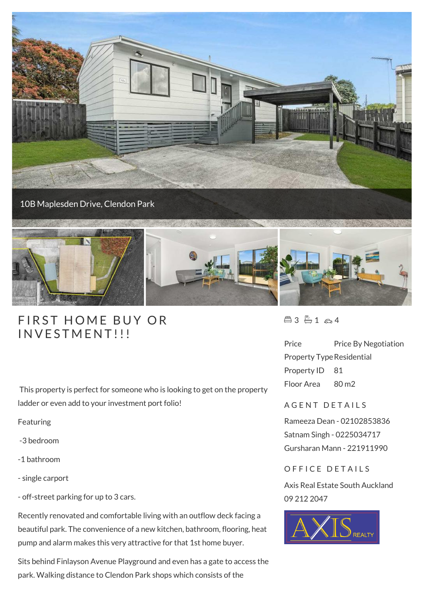

## FIRST HOME BUY

This property is perfect for someone who is looking to get on the property ladder or even add to your investment port folio!

Featuring

-3 bedroom

- -1 bathroom
- single carport
- off-street parking for up to 3 cars.

Recently renovated and comfortable living with an outflow deck facing a beautiful park. The convenience of a new kitchen, bathroom, flooring, heat pump and alarm makes this very attractive for that 1st home buyer.

Sits behind Finlayson Avenue Playground and even has a gate to access the park. Walking distance to Clendon Park shops which consists of the

 $43 - 1 - 4$ 

Price Price By Negotiation Property Type Residential Property ID 81 Floor Area 80 m2

## A G E N T D E T A I L S

Rameeza Dean - 02102853836 Satnam Singh - 0225034717 Gursharan Mann - 221911990

## OFFICE DETAILS

Axis Real Estate South Auckland 09 212 2047